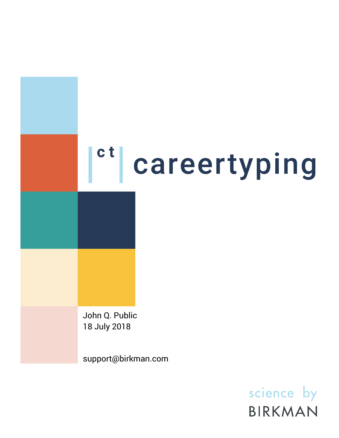# <sup>ct</sup> careertyping

John Q. Public 18 July 2018

support@birkman.com

science by BIRKMAN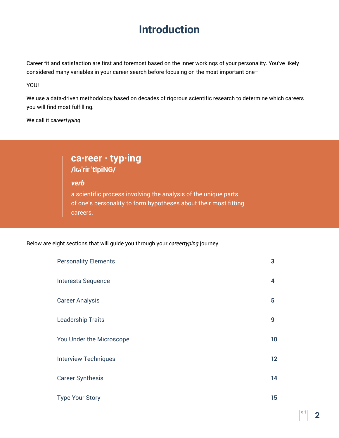# **Introduction**

Career fit and satisfaction are first and foremost based on the inner workings of your personality. You've likely considered many variables in your career search before focusing on the most important one–

YOU!

We use a data-driven methodology based on decades of rigorous scientific research to determine which careers you will find most fulfilling.

We call it *careertyping*.

## **ca·reer · typ·ing /kəˈrir ˈtīpiNG/**

*verb*

a scientific process involving the analysis of the unique parts of one's personality to form hypotheses about their most fitting careers.

Below are eight sections that will guide you through your *careertyping* journey.

| <b>Personality Elements</b> | 3  |
|-----------------------------|----|
| <b>Interests Sequence</b>   | 4  |
| <b>Career Analysis</b>      | 5  |
| <b>Leadership Traits</b>    | 9  |
| You Under the Microscope    | 10 |
| <b>Interview Techniques</b> | 12 |
| <b>Career Synthesis</b>     | 14 |
| <b>Type Your Story</b>      | 15 |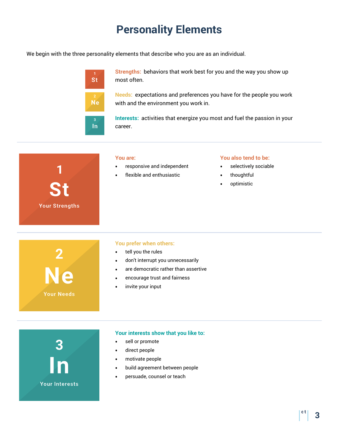# **Personality Elements**

We begin with the three personality elements that describe who you are as an individual.

| <b>St</b>               |  |
|-------------------------|--|
| $\frac{2}{N}$           |  |
| $\overline{\mathbf{3}}$ |  |

**Strengths:** behaviors that work best for you and the way you show up most often.

**Needs:** expectations and preferences you have for the people you work with and the environment you work in.

**Interests:** activities that energize you most and fuel the passion in your career.

| 1<br><b>St</b><br><b>Your Strengths</b> | You are:<br>responsive and independent<br>٠<br>flexible and enthusiastic                                                                                                                                                            | You also tend to be:<br>selectively sociable<br>$\bullet$<br>thoughtful<br>$\bullet$<br>optimistic<br>$\bullet$ |
|-----------------------------------------|-------------------------------------------------------------------------------------------------------------------------------------------------------------------------------------------------------------------------------------|-----------------------------------------------------------------------------------------------------------------|
| $\frac{2}{N e}$<br><b>Your Needs</b>    | You prefer when others:<br>tell you the rules<br>$\bullet$<br>don't interrupt you unnecessarily<br>$\bullet$<br>are democratic rather than assertive<br>$\bullet$<br>encourage trust and fairness<br>$\bullet$<br>invite your input |                                                                                                                 |
|                                         | Your interests show that you like to:<br>sell or promote<br>direct people<br>$\bullet$                                                                                                                                              |                                                                                                                 |

**•** motivate people

**Your Interests** 

- **•** build agreement between people
- **•** persuade, counsel or teach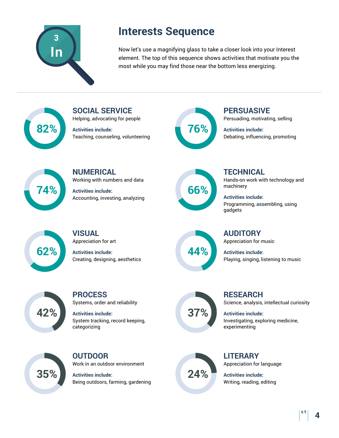

# **Interests Sequence**

Now let's use a magnifying glass to take a closer look into your Interest element. The top of this sequence shows activities that motivate you the most while you may find those near the bottom less energizing.

**82%**

Helping, advocating for people **Activities include:** Teaching, counseling, volunteering

**SOCIAL SERVICE**



**PERSUASIVE** Persuading, motivating, selling

**Activities include:** Debating, influencing, promoting



**NUMERICAL** Working with numbers and data

**Activities include:** Accounting, investing, analyzing



**TECHNICAL** Hands-on work with technology and machinery

**Activities include:** Programming, assembling, using gadgets



**VISUAL** Appreciation for art

**Activities include:** Creating, designing, aesthetics



Appreciation for music **Activities include:**

Playing, singing, listening to music

**AUDITORY**

**42%**

**PROCESS** Systems, order and reliability

**Activities include:** System tracking, record keeping, categorizing



**RESEARCH** Science, analysis, intellectual curiosity

**Activities include:** Investigating, exploring medicine, experimenting



**OUTDOOR** Work in an outdoor environment

**Activities include:** Being outdoors, farming, gardening



**LITERARY** Appreciation for language

**Activities include:** Writing, reading, editing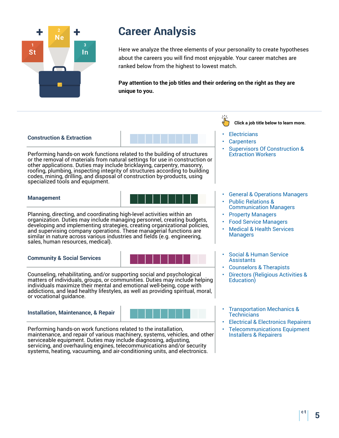

Here we analyze the three elements of your personality to create hypotheses about the careers you will find most enjoyable. Your career matches are ranked below from the highest to lowest match.

**Pay attention to the job titles and their ordering on the right as they are unique to you.**



Performing hands-on work functions related to the building of structures or the removal of materials from natural settings for use in construction or other applications. Duties may include bricklaying, carpentry, masonry, roofing, plumbing, inspecting integrity of structures according to building codes, mining, drilling, and disposal of construction by-products, using specialized tools and equipment.

#### **Management**



Planning, directing, and coordinating high-level activities within an organization. Duties may include managing personnel, creating budgets, developing and implementing strategies, creating organizational policies, and supervising company operations. These managerial functions are similar in nature across various industries and fields (e.g. engineering, sales, human resources, medical).

#### **Community & Social Services**



Counseling, rehabilitating, and/or supporting social and psychological matters of individuals, groups, or communities. Duties may include helping individuals maximize their mental and emotional well-being, cope with addictions, and lead healthy lifestyles, as well as providing spiritual, moral, or vocational guidance.

#### **Installation, Maintenance, & Repair**



Performing hands-on work functions related to the installation, maintenance, and repair of various machinery, systems, vehicles, and other serviceable equipment. Duties may include diagnosing, adjusting, servicing, and overhauling engines, telecommunications and/or security systems, heating, vacuuming, and air-conditioning units, and electronics.

**Click a job title below to learn more.**

- **[Electricians](http://www.mynextmove.org/profile/summary/47-2111.00)**
- **[Carpenters](http://www.mynextmove.org/profile/summary/47-2031.01)**
- [Supervisors Of Construction &](http://www.mynextmove.org/profile/summary/47-1011.00) Extraction Workers
- [General & Operations Managers](http://www.mynextmove.org/profile/summary/11-1021.00) • [Public Relations &](http://www.mynextmove.org/profile/summary/11-2031.00)
- Communication Managers
- [Property Managers](http://www.mynextmove.org/profile/summary/11-9141.00)
- [Food Service Managers](http://www.mynextmove.org/profile/summary/11-9051.00)
- [Medical & Health Services](http://www.mynextmove.org/profile/summary/11-9111.00) Managers
- [Social & Human Service](http://www.mynextmove.org/profile/summary/21-1093.00) **Assistants**
- [Counselors & Therapists](http://www.mynextmove.org/profile/summary/21-1014.00)
- [Directors \(Religious Activities &](http://www.mynextmove.org/profile/summary/21-2021.00) Education)
- [Transportation Mechanics &](http://www.mynextmove.org/profile/summary/49-3023.01) **Technicians**
- [Electrical & Electronics Repairers](http://www.mynextmove.org/profile/summary/49-2094.00)
- [Telecommunications Equipment](http://www.mynextmove.org/profile/summary/49-2022.00) Installers & Repairers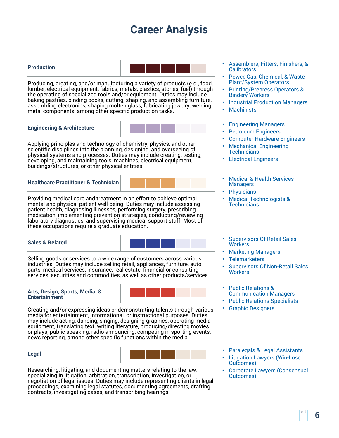#### **Production**



Producing, creating, and/or manufacturing a variety of products (e.g., food, lumber, electrical equipment, fabrics, metals, plastics, stones, fuel) through the operating of specialized tools and/or equipment. Duties may include baking pastries, binding books, cutting, shaping, and assembling furniture, assembling electronics, shaping molten glass, fabricating jewelry, welding metal components, among other specific production tasks.

#### **Engineering & Architecture**



Applying principles and technology of chemistry, physics, and other scientific disciplines into the planning, designing, and overseeing of physical systems and processes. Duties may include creating, testing, developing, and maintaining tools, machines, electrical equipment, buildings/structures, or other physical entities.

**Healthcare Practitioner & Technician**



Providing medical care and treatment in an effort to achieve optimal mental and physical patient well-being. Duties may include assessing patient health, diagnosing illnesses, performing surgery, prescribing medication, implementing prevention strategies, conducting/reviewing laboratory diagnostics, and supervising medical support staff. Most of these occupations require a graduate education.

#### **Sales & Related**



Selling goods or services to a wide range of customers across various industries. Duties may include selling retail, appliances, furniture, auto parts, medical services, insurance, real estate, financial or consulting services, securities and commodities, as well as other products/services.

#### **Arts, Design, Sports, Media, & Entertainment**



Creating and/or expressing ideas or demonstrating talents through various media for entertainment, informational, or instructional purposes. Duties may include acting, dancing, singing, designing graphics, operating media equipment, translating text, writing literature, producing/directing movies or plays, public speaking, radio announcing, competing in sporting events, news reporting, among other specific functions within the media.

#### **Legal**



Researching, litigating, and documenting matters relating to the law, specializing in litigation, arbitration, transcription, investigation, or negotiation of legal issues. Duties may include representing clients in legal proceedings, examining legal statutes, documenting agreements, drafting contracts, investigating cases, and transcribing hearings.

- [Assemblers, Fitters, Finishers, &](http://www.mynextmove.org/profile/summary/51-2092.00) **Calibrators**
- [Power, Gas, Chemical, & Waste](http://www.mynextmove.org/profile/summary/51-8013.00) Plant/System Operators
- [Printing/Prepress Operators &](http://www.mynextmove.org/profile/summary/51-5111.00) Bindery Workers
- [Industrial Production Managers](http://www.mynextmove.org/profile/summary/11-3051.00)
- **[Machinists](http://www.mynextmove.org/profile/summary/51-4041.00)**
- [Engineering Managers](http://www.mynextmove.org/profile/summary/11-9041.00)
- [Petroleum Engineers](http://www.mynextmove.org/profile/summary/17-2171.00)
- [Computer Hardware Engineers](http://www.mynextmove.org/profile/summary/17-2061.00)
- [Mechanical Engineering](http://www.mynextmove.org/profile/summary/17-3027.00) **Technicians**
- [Electrical Engineers](http://www.mynextmove.org/profile/summary/17-2071.00)
- [Medical & Health Services](http://www.mynextmove.org/profile/summary/11-9111.00) Managers
- **[Physicians](http://www.mynextmove.org/profile/summary/29-1062.00)**
- [Medical Technologists &](http://www.mynextmove.org/profile/summary/29-2011.00) Technicians
- [Supervisors Of Retail Sales](http://www.mynextmove.org/profile/summary/41-1011.00) **Workers**
- [Marketing Managers](http://www.mynextmove.org/profile/summary/11-2021.00)
- **[Telemarketers](http://www.mynextmove.org/profile/summary/41-9041.00)**
- [Supervisors Of Non-Retail Sales](http://www.mynextmove.org/profile/summary/41-1012.00) **Workers**
- [Public Relations &](http://www.mynextmove.org/profile/summary/11-2031.00) Communication Managers
- [Public Relations Specialists](http://www.mynextmove.org/profile/summary/27-3031.00)
- [Graphic Designers](http://www.mynextmove.org/profile/summary/27-1024.00)
- [Paralegals & Legal Assistants](http://www.mynextmove.org/profile/summary/23-2011.00)
- **[Litigation Lawyers \(Win-Lose](http://www.mynextmove.org/profile/summary/23-1011.00)** Outcomes)
- [Corporate Lawyers \(Consensual](http://www.mynextmove.org/profile/summary/23-1011.00) Outcomes)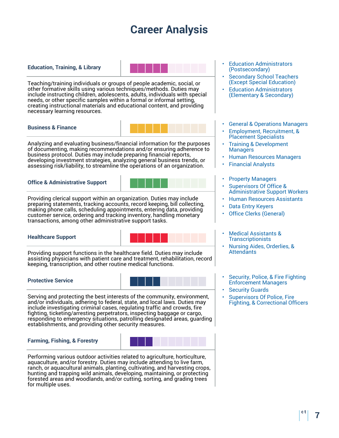#### **Education, Training, & Library**



Teaching/training individuals or groups of people academic, social, or other formative skills using various techniques/methods. Duties may include instructing children, adolescents, adults, individuals with special needs, or other specific samples within a formal or informal setting, creating instructional materials and educational content, and providing necessary learning resources.

#### **Business & Finance**

Analyzing and evaluating business/financial information for the purposes of documenting, making recommendations and/or ensuring adherence to business protocol. Duties may include preparing financial reports, developing investment strategies, analyzing general business trends, or assessing risk/liability, to streamline the operations of an organization.

#### **Office & Administrative Support**



Providing clerical support within an organization. Duties may include preparing statements, tracking accounts, record keeping, bill collecting, making phone calls, scheduling appointments, entering data, providing customer service, ordering and tracking inventory, handling monetary transactions, among other administrative support tasks.

#### **Healthcare Support**



Providing support functions in the healthcare field. Duties may include assisting physicians with patient care and treatment, rehabilitation, record keeping, transcription, and other routine medical functions.

#### **Protective Service**



Serving and protecting the best interests of the community, environment, and/or individuals, adhering to federal, state, and local laws. Duties may include investigating criminal cases, regulating traffic and crowds, fire fighting, ticketing/arresting perpetrators, inspecting baggage or cargo, responding to emergency situations, patrolling designated areas, guarding establishments, and providing other security measures.

#### **Farming, Fishing, & Forestry**



Performing various outdoor activities related to agriculture, horticulture, aquaculture, and/or forestry. Duties may include attending to live farm, ranch, or aquacultural animals, planting, cultivating, and harvesting crops, hunting and trapping wild animals, developing, maintaining, or protecting forested areas and woodlands, and/or cutting, sorting, and grading trees for multiple uses.

- **[Education Administrators](http://www.mynextmove.org/profile/summary/11-9033.00)** (Postsecondary)
- **[Secondary School Teachers](http://www.mynextmove.org/profile/summary/25-2031.00)** (Except Special Education)
- [Education Administrators](http://www.mynextmove.org/profile/summary/11-9032.00) (Elementary & Secondary)
- [General & Operations Managers](http://www.mynextmove.org/profile/summary/11-1021.00)
- [Employment, Recruitment, &](http://www.mynextmove.org/profile/summary/13-1071.00) Placement Specialists
- [Training & Development](http://www.mynextmove.org/profile/summary/11-3131.00) **Managers**
- [Human Resources Managers](http://www.mynextmove.org/profile/summary/11-3121.00)
- [Financial Analysts](http://www.mynextmove.org/profile/summary/13-2051.00)
- [Property Managers](http://www.mynextmove.org/profile/summary/11-9141.00)
- [Supervisors Of Office &](http://www.mynextmove.org/profile/summary/43-1011.00) Administrative Support Workers
- [Human Resources Assistants](http://www.mynextmove.org/profile/summary/43-4161.00)
- **[Data Entry Keyers](http://www.mynextmove.org/profile/summary/43-9021.00)**
- [Office Clerks \(General\)](http://www.mynextmove.org/profile/summary/43-9061.00)
- [Medical Assistants &](http://www.mynextmove.org/profile/summary/31-9092.00) **Transcriptionists**
- [Nursing Aides, Orderlies, &](http://www.mynextmove.org/profile/summary/31-1014.00) **Attendants**
- [Security, Police, & Fire Fighting](http://www.mynextmove.org/profile/summary/11-9199.07) Enforcement Managers
- **[Security Guards](http://www.mynextmove.org/profile/summary/33-9032.00)**
- [Supervisors Of Police, Fire](http://www.mynextmove.org/profile/summary/33-1012.00) Fighting, & Correctional Officers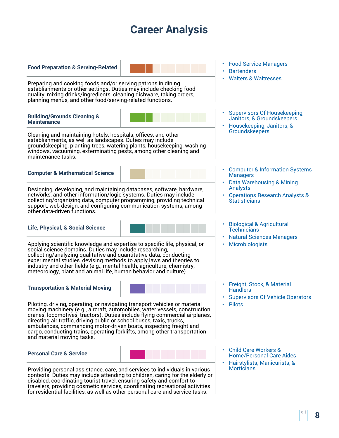**Food Preparation & Serving-Related**

Preparing and cooking foods and/or serving patrons in dining establishments or other settings. Duties may include checking food quality, mixing drinks/ingredients, cleaning dishware, taking orders, planning menus, and other food/serving-related functions.

#### **Building/Grounds Cleaning & Maintenance**



Cleaning and maintaining hotels, hospitals, offices, and other establishments, as well as landscapes. Duties may include groundskeeping, planting trees, watering plants, housekeeping, washing windows, vacuuming, exterminating pests, among other cleaning and maintenance tasks.

**Computer & Mathematical Science**



Designing, developing, and maintaining databases, software, hardware, networks, and other information/logic systems. Duties may include collecting/organizing data, computer programming, providing technical support, web design, and configuring communication systems, among other data-driven functions.

#### **Life, Physical, & Social Science**



Applying scientific knowledge and expertise to specific life, physical, or social science domains. Duties may include researching, collecting/analyzing qualitative and quantitative data, conducting experimental studies, devising methods to apply laws and theories to industry and other fields (e.g., mental health, agriculture, chemistry, meteorology, plant and animal life, human behavior and culture).

#### **Transportation & Material Moving**



Piloting, driving, operating, or navigating transport vehicles or material moving machinery (e.g., aircraft, automobiles, water vessels, construction cranes, locomotives, tractors). Duties include flying commercial airplanes, directing air traffic, driving public or school buses, taxis, trucks, ambulances, commanding motor-driven boats, inspecting freight and cargo, conducting trains, operating forklifts, among other transportation and material moving tasks.

#### **Personal Care & Service**



Providing personal assistance, care, and services to individuals in various contexts. Duties may include attending to children, caring for the elderly or disabled, coordinating tourist travel, ensuring safety and comfort to travelers, providing cosmetic services, coordinating recreational activities for residential facilities, as well as other personal care and service tasks.

- [Food Service Managers](http://www.mynextmove.org/profile/summary/11-9051.00)
- **[Bartenders](http://www.mynextmove.org/profile/summary/35-3011.00)**
- [Waiters & Waitresses](http://www.mynextmove.org/profile/summary/35-3031.00)
- [Supervisors Of Housekeeping,](http://www.mynextmove.org/profile/summary/37-1011.00) Janitors, & Groundskeepers
- [Housekeeping, Janitors, &](http://www.mynextmove.org/profile/summary/37-2012.00) **Groundskeepers**
- [Computer & Information Systems](http://www.mynextmove.org/profile/summary/11-3021.00) **Managers**
- [Data Warehousing & Mining](http://www.mynextmove.org/profile/summary/15-1199.07) Analysts
- [Operations Research Analysts &](http://www.mynextmove.org/profile/summary/15-2031.00) **Statisticians**
- [Biological & Agricultural](http://www.mynextmove.org/profile/summary/19-4011.01) **Technicians**
- [Natural Sciences Managers](http://www.mynextmove.org/profile/summary/11-9121.00)
- **[Microbiologists](http://www.mynextmove.org/profile/summary/19-1022.00)**
- [Freight, Stock, & Material](http://www.mynextmove.org/profile/summary/53-7062.00) **Handlers**
- [Supervisors Of Vehicle Operators](http://www.mynextmove.org/profile/summary/53-1031.00)
- [Pilots](http://www.mynextmove.org/profile/summary/53-2012.00)
- [Child Care Workers &](http://www.mynextmove.org/profile/summary/39-9011.00) Home/Personal Care Aides
- [Hairstylists, Manicurists, &](http://www.mynextmove.org/profile/summary/39-5012.00) **Morticians**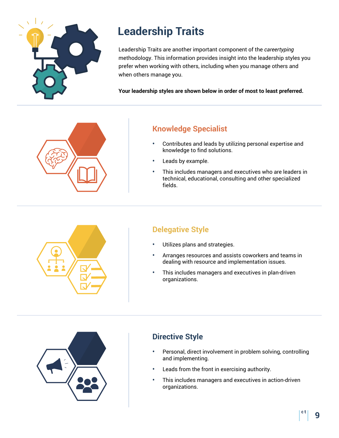

# **Leadership Traits**

Leadership Traits are another important component of the *careertyping* methodology. This information provides insight into the leadership styles you prefer when working with others, including when you manage others and when others manage you.

**Your leadership styles are shown below in order of most to least preferred.**



## **Knowledge Specialist**

- **•** Contributes and leads by utilizing personal expertise and knowledge to find solutions.
- **•** Leads by example.
- **•** This includes managers and executives who are leaders in technical, educational, consulting and other specialized fields.



## **Delegative Style**

- **•** Utilizes plans and strategies.
- **•** Arranges resources and assists coworkers and teams in dealing with resource and implementation issues.
- **•** This includes managers and executives in plan-driven organizations.



## **Directive Style**

- **•** Personal, direct involvement in problem solving, controlling and implementing.
- **•** Leads from the front in exercising authority.
- **•** This includes managers and executives in action-driven organizations.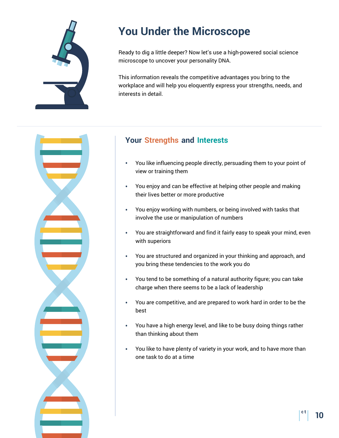

# **You Under the Microscope**

Ready to dig a little deeper? Now let's use a high-powered social science microscope to uncover your personality DNA.

This information reveals the competitive advantages you bring to the workplace and will help you eloquently express your strengths, needs, and interests in detail.



## **Your Strengths and Interests**

- **•** You like influencing people directly, persuading them to your point of view or training them
- **•** You enjoy and can be effective at helping other people and making their lives better or more productive
- **•** You enjoy working with numbers, or being involved with tasks that involve the use or manipulation of numbers
- **•** You are straightforward and find it fairly easy to speak your mind, even with superiors
- **•** You are structured and organized in your thinking and approach, and you bring these tendencies to the work you do
- **•** You tend to be something of a natural authority figure; you can take charge when there seems to be a lack of leadership
- **•** You are competitive, and are prepared to work hard in order to be the best
- **•** You have a high energy level, and like to be busy doing things rather than thinking about them
- **•** You like to have plenty of variety in your work, and to have more than one task to do at a time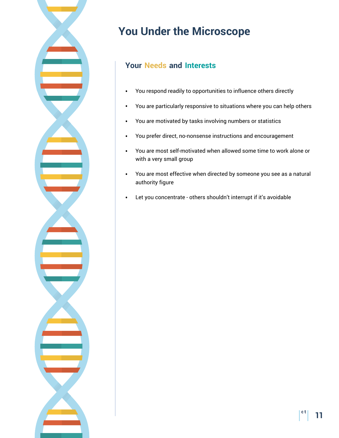

# **You Under the Microscope**

## **Your Needs and Interests**

- **•** You respond readily to opportunities to influence others directly
- **•** You are particularly responsive to situations where you can help others
- **•** You are motivated by tasks involving numbers or statistics
- **•** You prefer direct, no-nonsense instructions and encouragement
- **•** You are most self-motivated when allowed some time to work alone or with a very small group
- **•** You are most effective when directed by someone you see as a natural authority figure
- **•** Let you concentrate others shouldn't interrupt if it's avoidable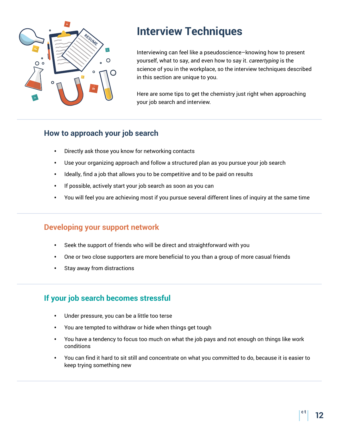

## **Interview Techniques**

Interviewing can feel like a pseudoscience–knowing how to present yourself, what to say, and even how to say it. *careertyping* is the science of you in the workplace, so the interview techniques described in this section are unique to you.

Here are some tips to get the chemistry just right when approaching your job search and interview.

## **How to approach your job search**

- **•** Directly ask those you know for networking contacts
- **•** Use your organizing approach and follow a structured plan as you pursue your job search
- **•** Ideally, find a job that allows you to be competitive and to be paid on results
- **•** If possible, actively start your job search as soon as you can
- **•** You will feel you are achieving most if you pursue several different lines of inquiry at the same time

## **Developing your support network**

- **•** Seek the support of friends who will be direct and straightforward with you
- **•** One or two close supporters are more beneficial to you than a group of more casual friends
- **•** Stay away from distractions

## **If your job search becomes stressful**

- **•** Under pressure, you can be a little too terse
- **•** You are tempted to withdraw or hide when things get tough
- **•** You have a tendency to focus too much on what the job pays and not enough on things like work conditions
- **•** You can find it hard to sit still and concentrate on what you committed to do, because it is easier to keep trying something new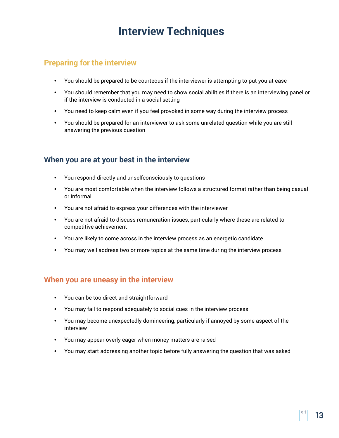# **Interview Techniques**

## **Preparing for the interview**

- **•** You should be prepared to be courteous if the interviewer is attempting to put you at ease
- **•** You should remember that you may need to show social abilities if there is an interviewing panel or if the interview is conducted in a social setting
- **•** You need to keep calm even if you feel provoked in some way during the interview process
- **•** You should be prepared for an interviewer to ask some unrelated question while you are still answering the previous question

## **When you are at your best in the interview**

- **•** You respond directly and unselfconsciously to questions
- **•** You are most comfortable when the interview follows a structured format rather than being casual or informal
- **•** You are not afraid to express your differences with the interviewer
- **•** You are not afraid to discuss remuneration issues, particularly where these are related to competitive achievement
- **•** You are likely to come across in the interview process as an energetic candidate
- **•** You may well address two or more topics at the same time during the interview process

### **When you are uneasy in the interview**

- **•** You can be too direct and straightforward
- **•** You may fail to respond adequately to social cues in the interview process
- **•** You may become unexpectedly domineering, particularly if annoyed by some aspect of the interview
- **•** You may appear overly eager when money matters are raised
- **•** You may start addressing another topic before fully answering the question that was asked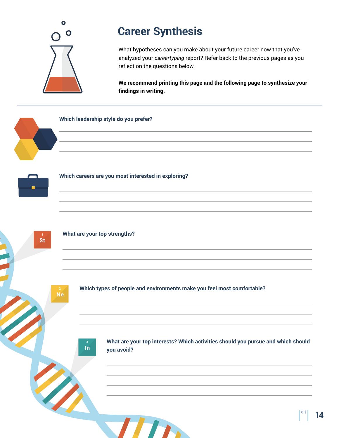

# **Career Synthesis**

What hypotheses can you make about your future career now that you've analyzed your *careertyping* report? Refer back to the previous pages as you reflect on the questions below.

**We recommend printing this page and the following page to synthesize your findings in writing.** 

#### **Which leadership style do you prefer?**



**Which careers are you most interested in exploring?**



#### **What are your top strengths?**

**Ne** 

**Which types of people and environments make you feel most comfortable?**

 $\ln$ 

**What are your top interests? Which activities should you pursue and which should you avoid?**